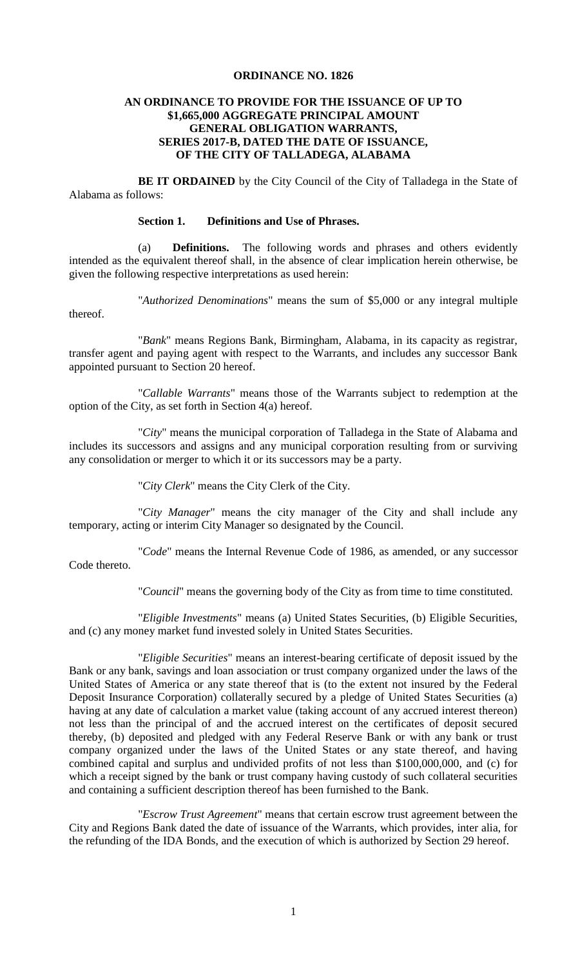## **ORDINANCE NO. 1826**

### **AN ORDINANCE TO PROVIDE FOR THE ISSUANCE OF UP TO \$1,665,000 AGGREGATE PRINCIPAL AMOUNT GENERAL OBLIGATION WARRANTS, SERIES 2017-B, DATED THE DATE OF ISSUANCE, OF THE CITY OF TALLADEGA, ALABAMA**

**BE IT ORDAINED** by the City Council of the City of Talladega in the State of Alabama as follows:

## **Section 1. Definitions and Use of Phrases.**

(a) **Definitions.** The following words and phrases and others evidently intended as the equivalent thereof shall, in the absence of clear implication herein otherwise, be given the following respective interpretations as used herein:

"*Authorized Denominations*" means the sum of \$5,000 or any integral multiple thereof.

"*Bank*" means Regions Bank, Birmingham, Alabama, in its capacity as registrar, transfer agent and paying agent with respect to the Warrants, and includes any successor Bank appointed pursuant to Section 20 hereof.

"*Callable Warrants*" means those of the Warrants subject to redemption at the option of the City, as set forth in Section 4(a) hereof.

"*City*" means the municipal corporation of Talladega in the State of Alabama and includes its successors and assigns and any municipal corporation resulting from or surviving any consolidation or merger to which it or its successors may be a party.

"*City Clerk*" means the City Clerk of the City.

"*City Manager*" means the city manager of the City and shall include any temporary, acting or interim City Manager so designated by the Council.

"*Code*" means the Internal Revenue Code of 1986, as amended, or any successor Code thereto.

"*Council*" means the governing body of the City as from time to time constituted.

"*Eligible Investments*" means (a) United States Securities, (b) Eligible Securities, and (c) any money market fund invested solely in United States Securities.

"*Eligible Securities*" means an interest-bearing certificate of deposit issued by the Bank or any bank, savings and loan association or trust company organized under the laws of the United States of America or any state thereof that is (to the extent not insured by the Federal Deposit Insurance Corporation) collaterally secured by a pledge of United States Securities (a) having at any date of calculation a market value (taking account of any accrued interest thereon) not less than the principal of and the accrued interest on the certificates of deposit secured thereby, (b) deposited and pledged with any Federal Reserve Bank or with any bank or trust company organized under the laws of the United States or any state thereof, and having combined capital and surplus and undivided profits of not less than \$100,000,000, and (c) for which a receipt signed by the bank or trust company having custody of such collateral securities and containing a sufficient description thereof has been furnished to the Bank.

"*Escrow Trust Agreement*" means that certain escrow trust agreement between the City and Regions Bank dated the date of issuance of the Warrants, which provides, inter alia, for the refunding of the IDA Bonds, and the execution of which is authorized by Section 29 hereof.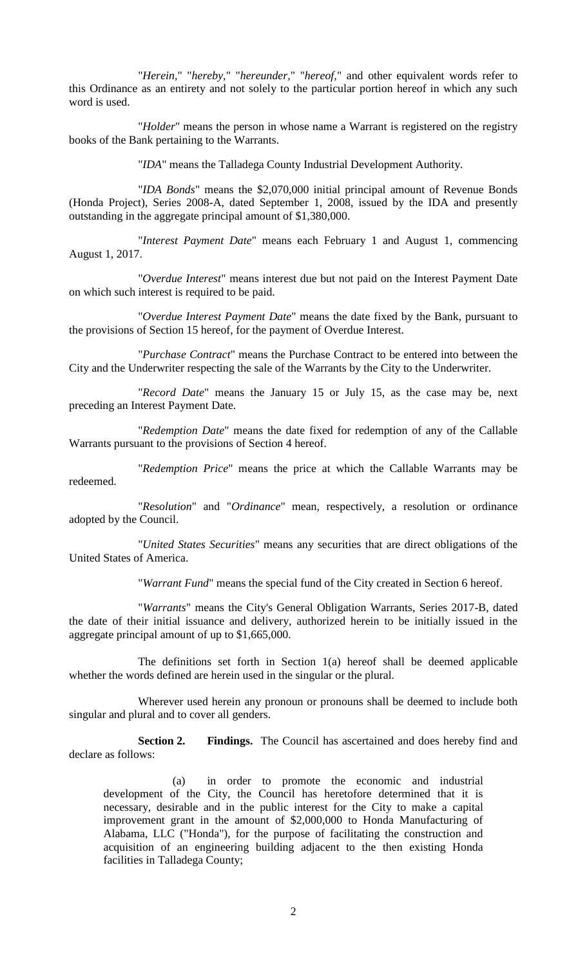"*Herein,*" "*hereby,*" "*hereunder,*" "*hereof,*" and other equivalent words refer to this Ordinance as an entirety and not solely to the particular portion hereof in which any such word is used.

"*Holder*" means the person in whose name a Warrant is registered on the registry books of the Bank pertaining to the Warrants.

"*IDA*" means the Talladega County Industrial Development Authority.

"*IDA Bonds*" means the \$2,070,000 initial principal amount of Revenue Bonds (Honda Project), Series 2008-A, dated September 1, 2008, issued by the IDA and presently outstanding in the aggregate principal amount of \$1,380,000.

"*Interest Payment Date*" means each February 1 and August 1, commencing August 1, 2017.

"*Overdue Interest*" means interest due but not paid on the Interest Payment Date on which such interest is required to be paid.

"*Overdue Interest Payment Date*" means the date fixed by the Bank, pursuant to the provisions of Section 15 hereof, for the payment of Overdue Interest.

"*Purchase Contract*" means the Purchase Contract to be entered into between the City and the Underwriter respecting the sale of the Warrants by the City to the Underwriter.

"*Record Date*" means the January 15 or July 15, as the case may be, next preceding an Interest Payment Date.

"*Redemption Date*" means the date fixed for redemption of any of the Callable Warrants pursuant to the provisions of Section 4 hereof.

"*Redemption Price*" means the price at which the Callable Warrants may be redeemed.

"*Resolution*" and "*Ordinance*" mean, respectively, a resolution or ordinance adopted by the Council.

"*United States Securities*" means any securities that are direct obligations of the United States of America.

"*Warrant Fund*" means the special fund of the City created in Section 6 hereof.

"*Warrants*" means the City's General Obligation Warrants, Series 2017-B, dated the date of their initial issuance and delivery, authorized herein to be initially issued in the aggregate principal amount of up to \$1,665,000.

The definitions set forth in Section 1(a) hereof shall be deemed applicable whether the words defined are herein used in the singular or the plural.

Wherever used herein any pronoun or pronouns shall be deemed to include both singular and plural and to cover all genders.

**Section 2. Findings.** The Council has ascertained and does hereby find and declare as follows:

(a) in order to promote the economic and industrial development of the City, the Council has heretofore determined that it is necessary, desirable and in the public interest for the City to make a capital improvement grant in the amount of \$2,000,000 to Honda Manufacturing of Alabama, LLC ("Honda"), for the purpose of facilitating the construction and acquisition of an engineering building adjacent to the then existing Honda facilities in Talladega County;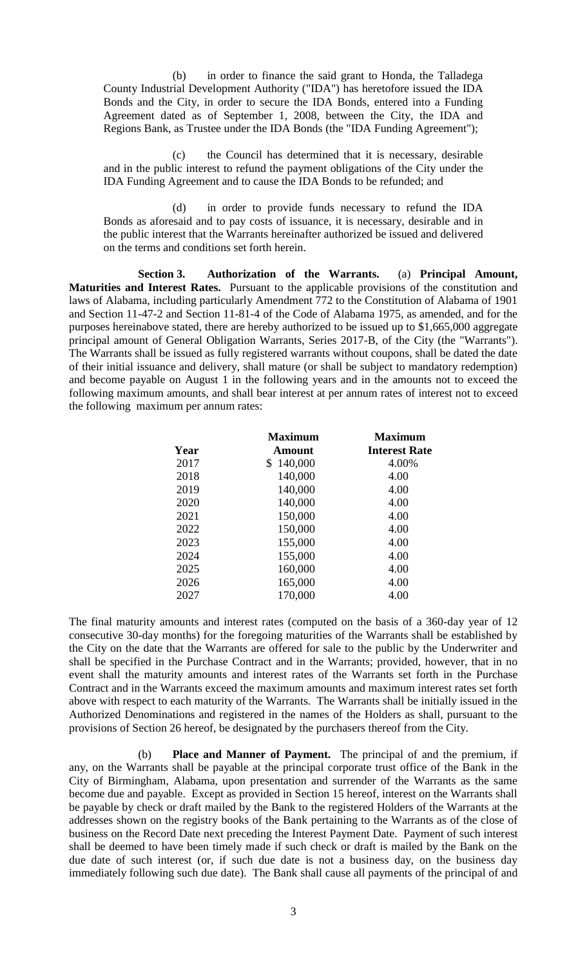(b) in order to finance the said grant to Honda, the Talladega County Industrial Development Authority ("IDA") has heretofore issued the IDA Bonds and the City, in order to secure the IDA Bonds, entered into a Funding Agreement dated as of September 1, 2008, between the City, the IDA and Regions Bank, as Trustee under the IDA Bonds (the "IDA Funding Agreement");

(c) the Council has determined that it is necessary, desirable and in the public interest to refund the payment obligations of the City under the IDA Funding Agreement and to cause the IDA Bonds to be refunded; and

(d) in order to provide funds necessary to refund the IDA Bonds as aforesaid and to pay costs of issuance, it is necessary, desirable and in the public interest that the Warrants hereinafter authorized be issued and delivered on the terms and conditions set forth herein.

**Section 3. Authorization of the Warrants.** (a) **Principal Amount, Maturities and Interest Rates.** Pursuant to the applicable provisions of the constitution and laws of Alabama, including particularly Amendment 772 to the Constitution of Alabama of 1901 and Section 11-47-2 and Section 11-81-4 of the Code of Alabama 1975, as amended, and for the purposes hereinabove stated, there are hereby authorized to be issued up to \$1,665,000 aggregate principal amount of General Obligation Warrants, Series 2017-B, of the City (the "Warrants"). The Warrants shall be issued as fully registered warrants without coupons, shall be dated the date of their initial issuance and delivery, shall mature (or shall be subject to mandatory redemption) and become payable on August 1 in the following years and in the amounts not to exceed the following maximum amounts, and shall bear interest at per annum rates of interest not to exceed the following maximum per annum rates:

| Year | <b>Maximum</b><br>Amount | <b>Maximum</b><br><b>Interest Rate</b> |
|------|--------------------------|----------------------------------------|
|      |                          |                                        |
| 2018 | 140,000                  | 4.00                                   |
| 2019 | 140,000                  | 4.00                                   |
| 2020 | 140,000                  | 4.00                                   |
| 2021 | 150,000                  | 4.00                                   |
| 2022 | 150,000                  | 4.00                                   |
| 2023 | 155,000                  | 4.00                                   |
| 2024 | 155,000                  | 4.00                                   |
| 2025 | 160,000                  | 4.00                                   |
| 2026 | 165,000                  | 4.00                                   |
| 2027 | 170,000                  | 4.00                                   |

The final maturity amounts and interest rates (computed on the basis of a 360-day year of 12 consecutive 30-day months) for the foregoing maturities of the Warrants shall be established by the City on the date that the Warrants are offered for sale to the public by the Underwriter and shall be specified in the Purchase Contract and in the Warrants; provided, however, that in no event shall the maturity amounts and interest rates of the Warrants set forth in the Purchase Contract and in the Warrants exceed the maximum amounts and maximum interest rates set forth above with respect to each maturity of the Warrants. The Warrants shall be initially issued in the Authorized Denominations and registered in the names of the Holders as shall, pursuant to the provisions of Section 26 hereof, be designated by the purchasers thereof from the City.

(b) **Place and Manner of Payment.** The principal of and the premium, if any, on the Warrants shall be payable at the principal corporate trust office of the Bank in the City of Birmingham, Alabama, upon presentation and surrender of the Warrants as the same become due and payable. Except as provided in Section 15 hereof, interest on the Warrants shall be payable by check or draft mailed by the Bank to the registered Holders of the Warrants at the addresses shown on the registry books of the Bank pertaining to the Warrants as of the close of business on the Record Date next preceding the Interest Payment Date. Payment of such interest shall be deemed to have been timely made if such check or draft is mailed by the Bank on the due date of such interest (or, if such due date is not a business day, on the business day immediately following such due date). The Bank shall cause all payments of the principal of and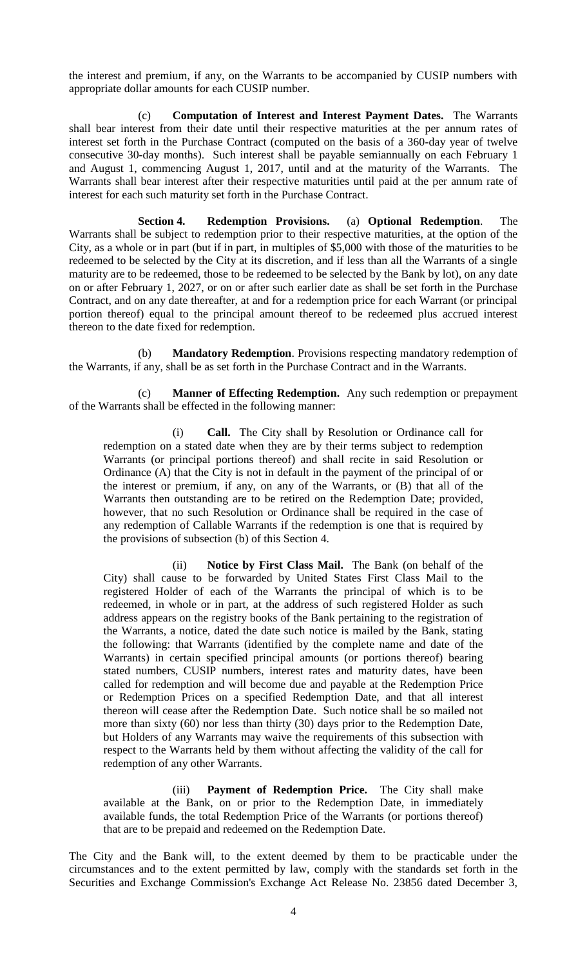the interest and premium, if any, on the Warrants to be accompanied by CUSIP numbers with appropriate dollar amounts for each CUSIP number.

(c) **Computation of Interest and Interest Payment Dates.** The Warrants shall bear interest from their date until their respective maturities at the per annum rates of interest set forth in the Purchase Contract (computed on the basis of a 360-day year of twelve consecutive 30-day months). Such interest shall be payable semiannually on each February 1 and August 1, commencing August 1, 2017, until and at the maturity of the Warrants. The Warrants shall bear interest after their respective maturities until paid at the per annum rate of interest for each such maturity set forth in the Purchase Contract.

**Section 4. Redemption Provisions.** (a) **Optional Redemption**. The Warrants shall be subject to redemption prior to their respective maturities, at the option of the City, as a whole or in part (but if in part, in multiples of \$5,000 with those of the maturities to be redeemed to be selected by the City at its discretion, and if less than all the Warrants of a single maturity are to be redeemed, those to be redeemed to be selected by the Bank by lot), on any date on or after February 1, 2027, or on or after such earlier date as shall be set forth in the Purchase Contract, and on any date thereafter, at and for a redemption price for each Warrant (or principal portion thereof) equal to the principal amount thereof to be redeemed plus accrued interest thereon to the date fixed for redemption.

(b) **Mandatory Redemption**. Provisions respecting mandatory redemption of the Warrants, if any, shall be as set forth in the Purchase Contract and in the Warrants.

(c) **Manner of Effecting Redemption.** Any such redemption or prepayment of the Warrants shall be effected in the following manner:

(i) **Call.** The City shall by Resolution or Ordinance call for redemption on a stated date when they are by their terms subject to redemption Warrants (or principal portions thereof) and shall recite in said Resolution or Ordinance (A) that the City is not in default in the payment of the principal of or the interest or premium, if any, on any of the Warrants, or (B) that all of the Warrants then outstanding are to be retired on the Redemption Date; provided, however, that no such Resolution or Ordinance shall be required in the case of any redemption of Callable Warrants if the redemption is one that is required by the provisions of subsection (b) of this Section 4.

(ii) **Notice by First Class Mail.** The Bank (on behalf of the City) shall cause to be forwarded by United States First Class Mail to the registered Holder of each of the Warrants the principal of which is to be redeemed, in whole or in part, at the address of such registered Holder as such address appears on the registry books of the Bank pertaining to the registration of the Warrants, a notice, dated the date such notice is mailed by the Bank, stating the following: that Warrants (identified by the complete name and date of the Warrants) in certain specified principal amounts (or portions thereof) bearing stated numbers, CUSIP numbers, interest rates and maturity dates, have been called for redemption and will become due and payable at the Redemption Price or Redemption Prices on a specified Redemption Date, and that all interest thereon will cease after the Redemption Date. Such notice shall be so mailed not more than sixty (60) nor less than thirty (30) days prior to the Redemption Date, but Holders of any Warrants may waive the requirements of this subsection with respect to the Warrants held by them without affecting the validity of the call for redemption of any other Warrants.

(iii) **Payment of Redemption Price.** The City shall make available at the Bank, on or prior to the Redemption Date, in immediately available funds, the total Redemption Price of the Warrants (or portions thereof) that are to be prepaid and redeemed on the Redemption Date.

The City and the Bank will, to the extent deemed by them to be practicable under the circumstances and to the extent permitted by law, comply with the standards set forth in the Securities and Exchange Commission's Exchange Act Release No. 23856 dated December 3,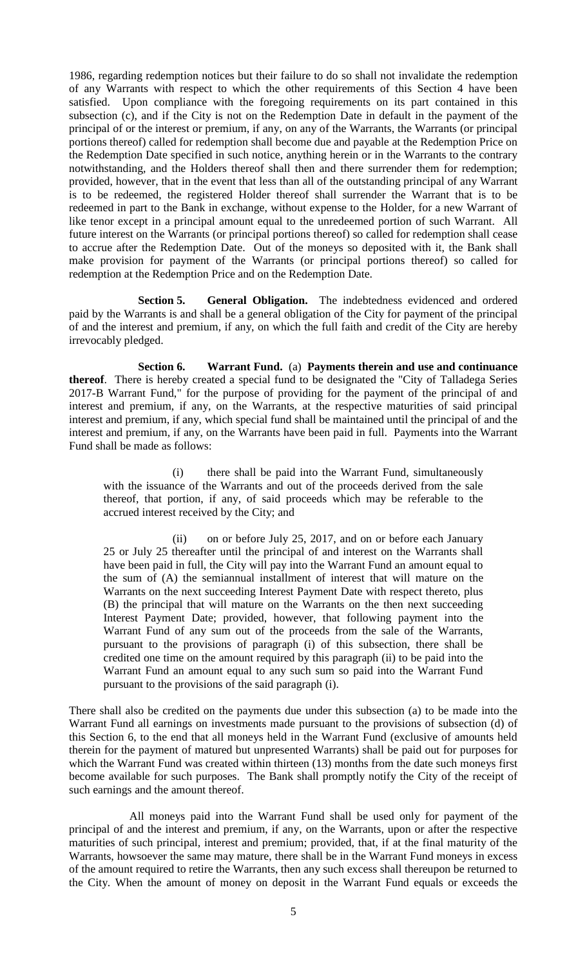1986, regarding redemption notices but their failure to do so shall not invalidate the redemption of any Warrants with respect to which the other requirements of this Section 4 have been satisfied. Upon compliance with the foregoing requirements on its part contained in this subsection (c), and if the City is not on the Redemption Date in default in the payment of the principal of or the interest or premium, if any, on any of the Warrants, the Warrants (or principal portions thereof) called for redemption shall become due and payable at the Redemption Price on the Redemption Date specified in such notice, anything herein or in the Warrants to the contrary notwithstanding, and the Holders thereof shall then and there surrender them for redemption; provided, however, that in the event that less than all of the outstanding principal of any Warrant is to be redeemed, the registered Holder thereof shall surrender the Warrant that is to be redeemed in part to the Bank in exchange, without expense to the Holder, for a new Warrant of like tenor except in a principal amount equal to the unredeemed portion of such Warrant. All future interest on the Warrants (or principal portions thereof) so called for redemption shall cease to accrue after the Redemption Date. Out of the moneys so deposited with it, the Bank shall make provision for payment of the Warrants (or principal portions thereof) so called for redemption at the Redemption Price and on the Redemption Date.

**Section 5. General Obligation.** The indebtedness evidenced and ordered paid by the Warrants is and shall be a general obligation of the City for payment of the principal of and the interest and premium, if any, on which the full faith and credit of the City are hereby irrevocably pledged.

**Section 6. Warrant Fund.** (a) **Payments therein and use and continuance thereof**. There is hereby created a special fund to be designated the "City of Talladega Series 2017-B Warrant Fund," for the purpose of providing for the payment of the principal of and interest and premium, if any, on the Warrants, at the respective maturities of said principal interest and premium, if any, which special fund shall be maintained until the principal of and the interest and premium, if any, on the Warrants have been paid in full. Payments into the Warrant Fund shall be made as follows:

(i) there shall be paid into the Warrant Fund, simultaneously with the issuance of the Warrants and out of the proceeds derived from the sale thereof, that portion, if any, of said proceeds which may be referable to the accrued interest received by the City; and

(ii) on or before July 25, 2017, and on or before each January 25 or July 25 thereafter until the principal of and interest on the Warrants shall have been paid in full, the City will pay into the Warrant Fund an amount equal to the sum of (A) the semiannual installment of interest that will mature on the Warrants on the next succeeding Interest Payment Date with respect thereto, plus (B) the principal that will mature on the Warrants on the then next succeeding Interest Payment Date; provided, however, that following payment into the Warrant Fund of any sum out of the proceeds from the sale of the Warrants, pursuant to the provisions of paragraph (i) of this subsection, there shall be credited one time on the amount required by this paragraph (ii) to be paid into the Warrant Fund an amount equal to any such sum so paid into the Warrant Fund pursuant to the provisions of the said paragraph (i).

There shall also be credited on the payments due under this subsection (a) to be made into the Warrant Fund all earnings on investments made pursuant to the provisions of subsection (d) of this Section 6, to the end that all moneys held in the Warrant Fund (exclusive of amounts held therein for the payment of matured but unpresented Warrants) shall be paid out for purposes for which the Warrant Fund was created within thirteen (13) months from the date such moneys first become available for such purposes. The Bank shall promptly notify the City of the receipt of such earnings and the amount thereof.

All moneys paid into the Warrant Fund shall be used only for payment of the principal of and the interest and premium, if any, on the Warrants, upon or after the respective maturities of such principal, interest and premium; provided, that, if at the final maturity of the Warrants, howsoever the same may mature, there shall be in the Warrant Fund moneys in excess of the amount required to retire the Warrants, then any such excess shall thereupon be returned to the City. When the amount of money on deposit in the Warrant Fund equals or exceeds the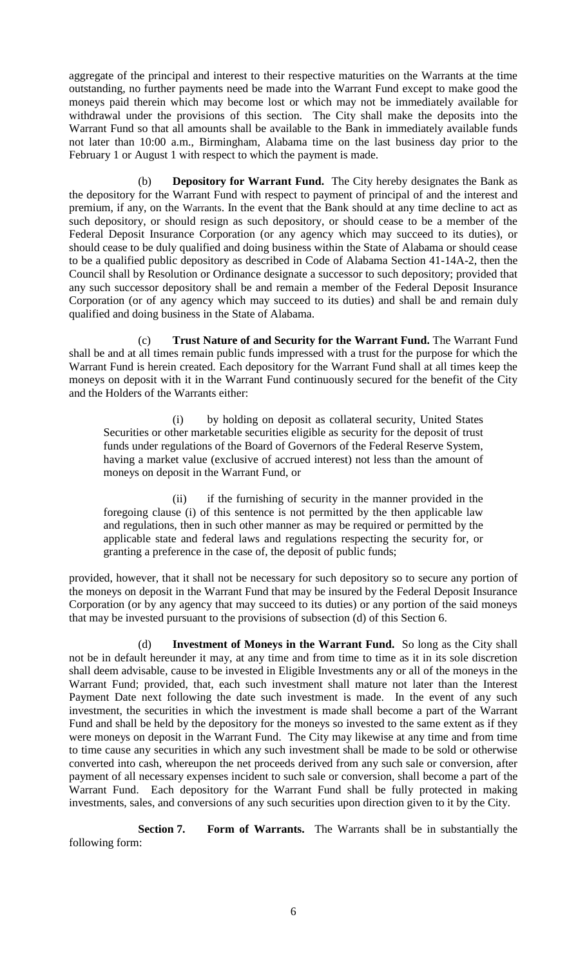aggregate of the principal and interest to their respective maturities on the Warrants at the time outstanding, no further payments need be made into the Warrant Fund except to make good the moneys paid therein which may become lost or which may not be immediately available for withdrawal under the provisions of this section. The City shall make the deposits into the Warrant Fund so that all amounts shall be available to the Bank in immediately available funds not later than 10:00 a.m., Birmingham, Alabama time on the last business day prior to the February 1 or August 1 with respect to which the payment is made.

(b) **Depository for Warrant Fund.** The City hereby designates the Bank as the depository for the Warrant Fund with respect to payment of principal of and the interest and premium, if any, on the Warrants. In the event that the Bank should at any time decline to act as such depository, or should resign as such depository, or should cease to be a member of the Federal Deposit Insurance Corporation (or any agency which may succeed to its duties), or should cease to be duly qualified and doing business within the State of Alabama or should cease to be a qualified public depository as described in Code of Alabama Section 41-14A-2, then the Council shall by Resolution or Ordinance designate a successor to such depository; provided that any such successor depository shall be and remain a member of the Federal Deposit Insurance Corporation (or of any agency which may succeed to its duties) and shall be and remain duly qualified and doing business in the State of Alabama.

(c) **Trust Nature of and Security for the Warrant Fund.** The Warrant Fund shall be and at all times remain public funds impressed with a trust for the purpose for which the Warrant Fund is herein created. Each depository for the Warrant Fund shall at all times keep the moneys on deposit with it in the Warrant Fund continuously secured for the benefit of the City and the Holders of the Warrants either:

(i) by holding on deposit as collateral security, United States Securities or other marketable securities eligible as security for the deposit of trust funds under regulations of the Board of Governors of the Federal Reserve System, having a market value (exclusive of accrued interest) not less than the amount of moneys on deposit in the Warrant Fund, or

(ii) if the furnishing of security in the manner provided in the foregoing clause (i) of this sentence is not permitted by the then applicable law and regulations, then in such other manner as may be required or permitted by the applicable state and federal laws and regulations respecting the security for, or granting a preference in the case of, the deposit of public funds;

provided, however, that it shall not be necessary for such depository so to secure any portion of the moneys on deposit in the Warrant Fund that may be insured by the Federal Deposit Insurance Corporation (or by any agency that may succeed to its duties) or any portion of the said moneys that may be invested pursuant to the provisions of subsection (d) of this Section 6.

(d) **Investment of Moneys in the Warrant Fund.** So long as the City shall not be in default hereunder it may, at any time and from time to time as it in its sole discretion shall deem advisable, cause to be invested in Eligible Investments any or all of the moneys in the Warrant Fund; provided, that, each such investment shall mature not later than the Interest Payment Date next following the date such investment is made. In the event of any such investment, the securities in which the investment is made shall become a part of the Warrant Fund and shall be held by the depository for the moneys so invested to the same extent as if they were moneys on deposit in the Warrant Fund. The City may likewise at any time and from time to time cause any securities in which any such investment shall be made to be sold or otherwise converted into cash, whereupon the net proceeds derived from any such sale or conversion, after payment of all necessary expenses incident to such sale or conversion, shall become a part of the Warrant Fund. Each depository for the Warrant Fund shall be fully protected in making investments, sales, and conversions of any such securities upon direction given to it by the City.

**Section 7. Form of Warrants.** The Warrants shall be in substantially the following form: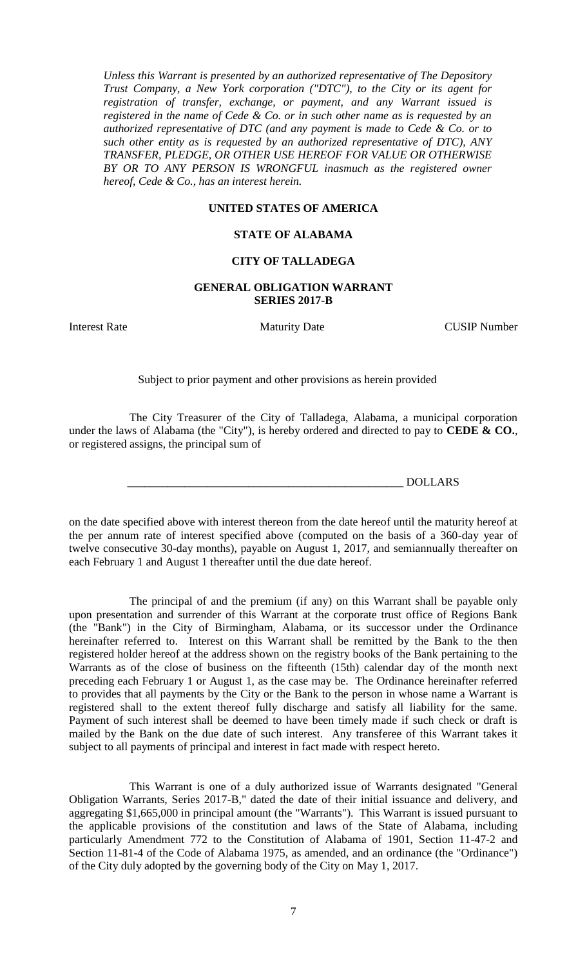*Unless this Warrant is presented by an authorized representative of The Depository Trust Company, a New York corporation ("DTC"), to the City or its agent for registration of transfer, exchange, or payment, and any Warrant issued is registered in the name of Cede & Co. or in such other name as is requested by an authorized representative of DTC (and any payment is made to Cede & Co. or to such other entity as is requested by an authorized representative of DTC), ANY TRANSFER, PLEDGE, OR OTHER USE HEREOF FOR VALUE OR OTHERWISE BY OR TO ANY PERSON IS WRONGFUL inasmuch as the registered owner hereof, Cede & Co., has an interest herein.*

## **UNITED STATES OF AMERICA**

#### **STATE OF ALABAMA**

### **CITY OF TALLADEGA**

### **GENERAL OBLIGATION WARRANT SERIES 2017-B**

Interest Rate Maturity Date CUSIP Number

Subject to prior payment and other provisions as herein provided

The City Treasurer of the City of Talladega, Alabama, a municipal corporation under the laws of Alabama (the "City"), is hereby ordered and directed to pay to **CEDE & CO.**, or registered assigns, the principal sum of

\_\_\_\_\_\_\_\_\_\_\_\_\_\_\_\_\_\_\_\_\_\_\_\_\_\_\_\_\_\_\_\_\_\_\_\_\_\_\_\_\_\_\_\_\_\_\_\_ DOLLARS

on the date specified above with interest thereon from the date hereof until the maturity hereof at the per annum rate of interest specified above (computed on the basis of a 360-day year of twelve consecutive 30-day months), payable on August 1, 2017, and semiannually thereafter on each February 1 and August 1 thereafter until the due date hereof.

The principal of and the premium (if any) on this Warrant shall be payable only upon presentation and surrender of this Warrant at the corporate trust office of Regions Bank (the "Bank") in the City of Birmingham, Alabama, or its successor under the Ordinance hereinafter referred to. Interest on this Warrant shall be remitted by the Bank to the then registered holder hereof at the address shown on the registry books of the Bank pertaining to the Warrants as of the close of business on the fifteenth (15th) calendar day of the month next preceding each February 1 or August 1, as the case may be. The Ordinance hereinafter referred to provides that all payments by the City or the Bank to the person in whose name a Warrant is registered shall to the extent thereof fully discharge and satisfy all liability for the same. Payment of such interest shall be deemed to have been timely made if such check or draft is mailed by the Bank on the due date of such interest. Any transferee of this Warrant takes it subject to all payments of principal and interest in fact made with respect hereto.

This Warrant is one of a duly authorized issue of Warrants designated "General Obligation Warrants, Series 2017-B," dated the date of their initial issuance and delivery, and aggregating \$1,665,000 in principal amount (the "Warrants"). This Warrant is issued pursuant to the applicable provisions of the constitution and laws of the State of Alabama, including particularly Amendment 772 to the Constitution of Alabama of 1901, Section 11-47-2 and Section 11-81-4 of the Code of Alabama 1975, as amended, and an ordinance (the "Ordinance") of the City duly adopted by the governing body of the City on May 1, 2017.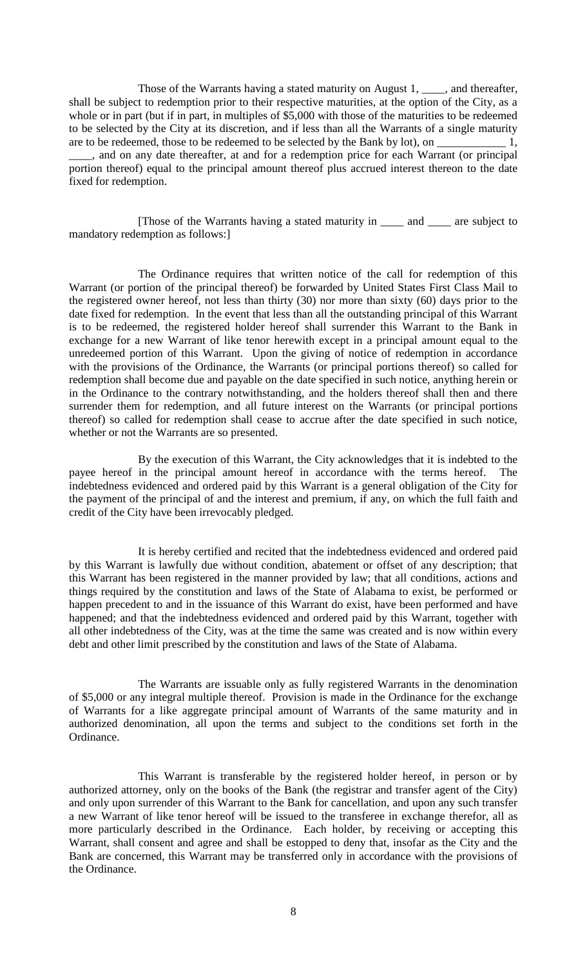Those of the Warrants having a stated maturity on August 1, \_\_\_\_, and thereafter, shall be subject to redemption prior to their respective maturities, at the option of the City, as a whole or in part (but if in part, in multiples of \$5,000 with those of the maturities to be redeemed to be selected by the City at its discretion, and if less than all the Warrants of a single maturity are to be redeemed, those to be redeemed to be selected by the Bank by lot), on \_\_\_\_\_\_\_\_\_\_\_\_ 1, \_\_\_\_, and on any date thereafter, at and for a redemption price for each Warrant (or principal portion thereof) equal to the principal amount thereof plus accrued interest thereon to the date fixed for redemption.

[Those of the Warrants having a stated maturity in \_\_\_\_ and \_\_\_\_ are subject to mandatory redemption as follows:]

The Ordinance requires that written notice of the call for redemption of this Warrant (or portion of the principal thereof) be forwarded by United States First Class Mail to the registered owner hereof, not less than thirty (30) nor more than sixty (60) days prior to the date fixed for redemption. In the event that less than all the outstanding principal of this Warrant is to be redeemed, the registered holder hereof shall surrender this Warrant to the Bank in exchange for a new Warrant of like tenor herewith except in a principal amount equal to the unredeemed portion of this Warrant. Upon the giving of notice of redemption in accordance with the provisions of the Ordinance, the Warrants (or principal portions thereof) so called for redemption shall become due and payable on the date specified in such notice, anything herein or in the Ordinance to the contrary notwithstanding, and the holders thereof shall then and there surrender them for redemption, and all future interest on the Warrants (or principal portions thereof) so called for redemption shall cease to accrue after the date specified in such notice, whether or not the Warrants are so presented.

By the execution of this Warrant, the City acknowledges that it is indebted to the payee hereof in the principal amount hereof in accordance with the terms hereof. The indebtedness evidenced and ordered paid by this Warrant is a general obligation of the City for the payment of the principal of and the interest and premium, if any, on which the full faith and credit of the City have been irrevocably pledged.

It is hereby certified and recited that the indebtedness evidenced and ordered paid by this Warrant is lawfully due without condition, abatement or offset of any description; that this Warrant has been registered in the manner provided by law; that all conditions, actions and things required by the constitution and laws of the State of Alabama to exist, be performed or happen precedent to and in the issuance of this Warrant do exist, have been performed and have happened; and that the indebtedness evidenced and ordered paid by this Warrant, together with all other indebtedness of the City, was at the time the same was created and is now within every debt and other limit prescribed by the constitution and laws of the State of Alabama.

The Warrants are issuable only as fully registered Warrants in the denomination of \$5,000 or any integral multiple thereof. Provision is made in the Ordinance for the exchange of Warrants for a like aggregate principal amount of Warrants of the same maturity and in authorized denomination, all upon the terms and subject to the conditions set forth in the Ordinance.

This Warrant is transferable by the registered holder hereof, in person or by authorized attorney, only on the books of the Bank (the registrar and transfer agent of the City) and only upon surrender of this Warrant to the Bank for cancellation, and upon any such transfer a new Warrant of like tenor hereof will be issued to the transferee in exchange therefor, all as more particularly described in the Ordinance. Each holder, by receiving or accepting this Warrant, shall consent and agree and shall be estopped to deny that, insofar as the City and the Bank are concerned, this Warrant may be transferred only in accordance with the provisions of the Ordinance.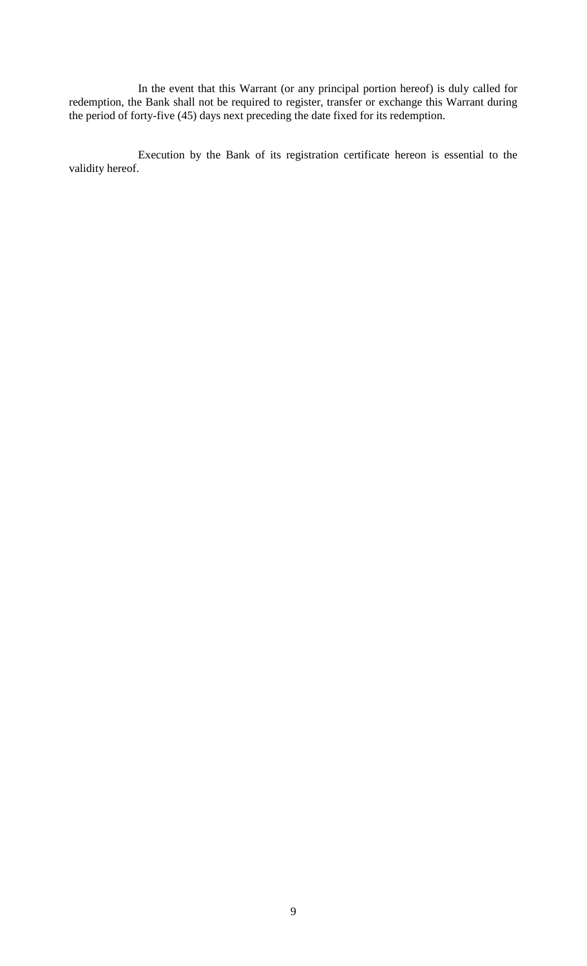In the event that this Warrant (or any principal portion hereof) is duly called for redemption, the Bank shall not be required to register, transfer or exchange this Warrant during the period of forty-five (45) days next preceding the date fixed for its redemption.

Execution by the Bank of its registration certificate hereon is essential to the validity hereof.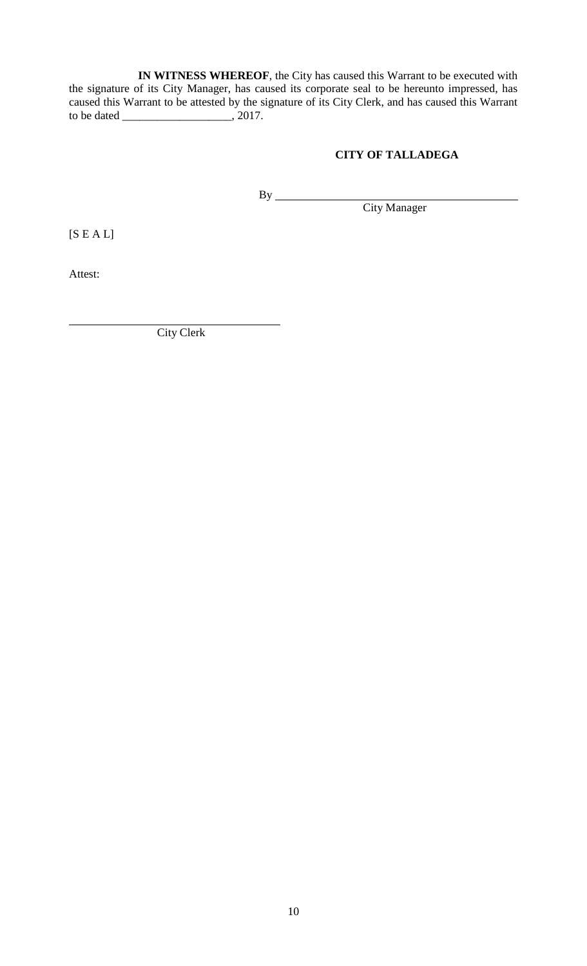**IN WITNESS WHEREOF**, the City has caused this Warrant to be executed with the signature of its City Manager, has caused its corporate seal to be hereunto impressed, has caused this Warrant to be attested by the signature of its City Clerk, and has caused this Warrant to be dated \_\_\_\_\_\_\_\_\_\_\_\_\_\_\_\_\_\_\_, 2017.

# **CITY OF TALLADEGA**

By City Manager

 $[S E A L]$ 

Attest:

City Clerk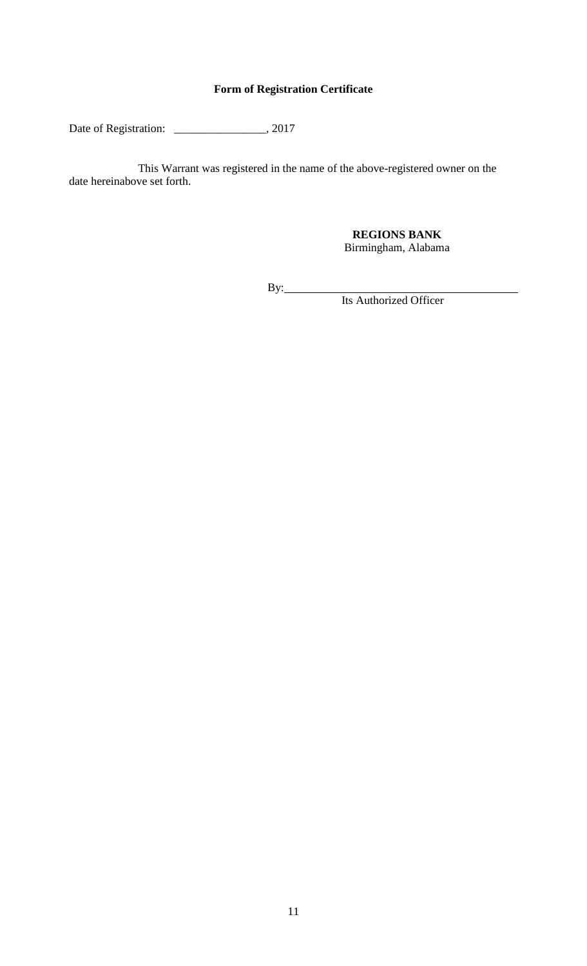# **Form of Registration Certificate**

Date of Registration: \_\_\_\_\_\_\_\_\_\_\_\_\_\_\_\_\_, 2017

This Warrant was registered in the name of the above-registered owner on the date hereinabove set forth.

> **REGIONS BANK** Birmingham, Alabama

By:

Its Authorized Officer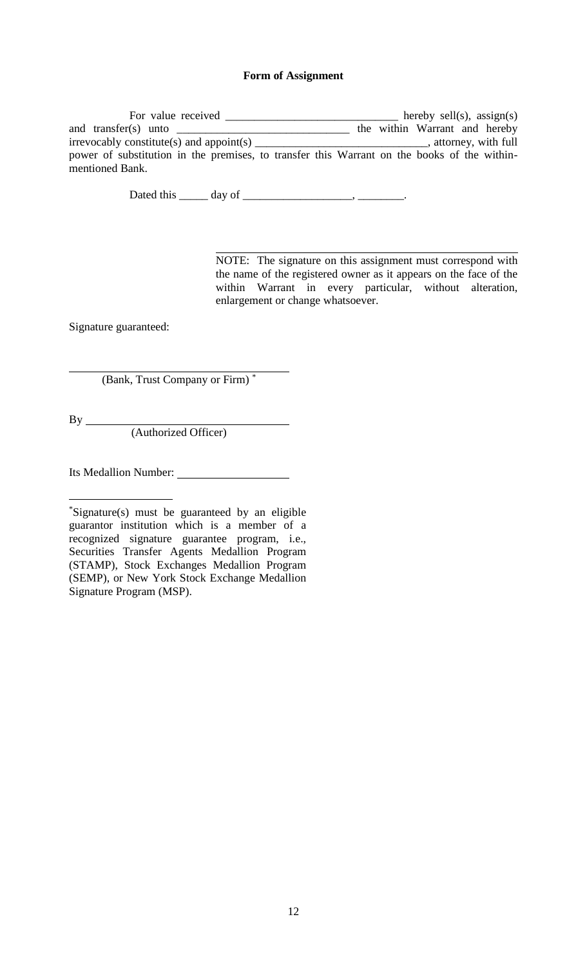## **Form of Assignment**

| For value received                                                                                             | hereby sell(s), $assign(s)$                    |
|----------------------------------------------------------------------------------------------------------------|------------------------------------------------|
| and transfer(s) unto                                                                                           | the within Warrant and hereby                  |
| $irrevocably constitute(s) and a point(s)$                                                                     | $\overline{\phantom{a}}$ , attorney, with full |
| power of substitution in the premises, to transfer this Warrant on the books of the within-<br>mentioned Bank. |                                                |

Dated this \_\_\_\_\_\_ day of \_\_\_\_\_\_\_\_\_\_\_\_\_\_\_\_\_\_\_\_\_\_, \_\_\_\_\_\_\_\_\_\_.

NOTE: The signature on this assignment must correspond with the name of the registered owner as it appears on the face of the within Warrant in every particular, without alteration, enlargement or change whatsoever.

Signature guaranteed:

(Bank, Trust Company or Firm) \*

By

(Authorized Officer)

Its Medallion Number:

\*Signature(s) must be guaranteed by an eligible guarantor institution which is a member of a recognized signature guarantee program, i.e., Securities Transfer Agents Medallion Program (STAMP), Stock Exchanges Medallion Program (SEMP), or New York Stock Exchange Medallion Signature Program (MSP).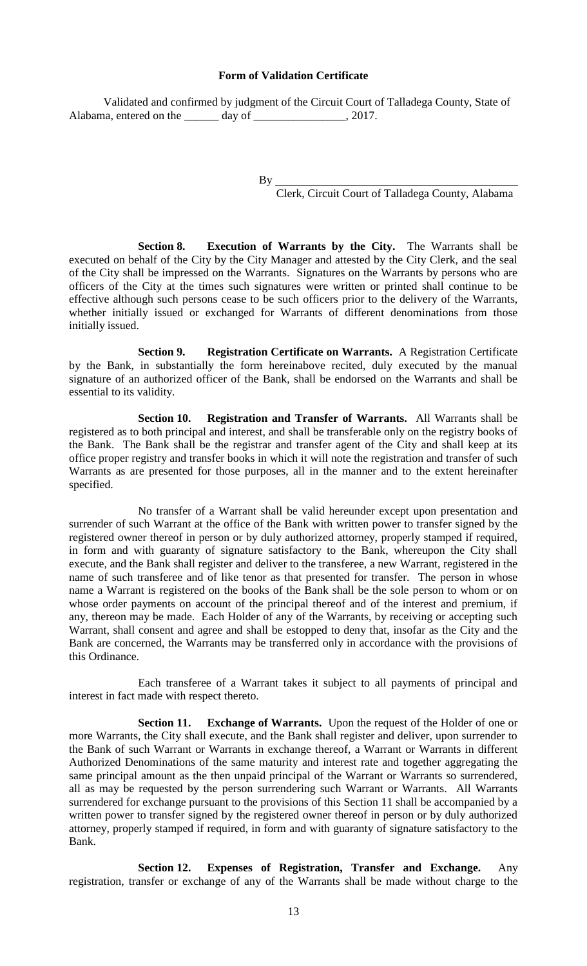#### **Form of Validation Certificate**

Validated and confirmed by judgment of the Circuit Court of Talladega County, State of Alabama, entered on the day of \_\_\_\_\_\_\_\_\_\_\_\_\_\_, 2017.

By

Clerk, Circuit Court of Talladega County, Alabama

**Section 8. Execution of Warrants by the City.** The Warrants shall be executed on behalf of the City by the City Manager and attested by the City Clerk, and the seal of the City shall be impressed on the Warrants. Signatures on the Warrants by persons who are officers of the City at the times such signatures were written or printed shall continue to be effective although such persons cease to be such officers prior to the delivery of the Warrants, whether initially issued or exchanged for Warrants of different denominations from those initially issued.

**Section 9. Registration Certificate on Warrants.** A Registration Certificate by the Bank, in substantially the form hereinabove recited, duly executed by the manual signature of an authorized officer of the Bank, shall be endorsed on the Warrants and shall be essential to its validity.

**Section 10. Registration and Transfer of Warrants.** All Warrants shall be registered as to both principal and interest, and shall be transferable only on the registry books of the Bank. The Bank shall be the registrar and transfer agent of the City and shall keep at its office proper registry and transfer books in which it will note the registration and transfer of such Warrants as are presented for those purposes, all in the manner and to the extent hereinafter specified.

No transfer of a Warrant shall be valid hereunder except upon presentation and surrender of such Warrant at the office of the Bank with written power to transfer signed by the registered owner thereof in person or by duly authorized attorney, properly stamped if required, in form and with guaranty of signature satisfactory to the Bank, whereupon the City shall execute, and the Bank shall register and deliver to the transferee, a new Warrant, registered in the name of such transferee and of like tenor as that presented for transfer. The person in whose name a Warrant is registered on the books of the Bank shall be the sole person to whom or on whose order payments on account of the principal thereof and of the interest and premium, if any, thereon may be made. Each Holder of any of the Warrants, by receiving or accepting such Warrant, shall consent and agree and shall be estopped to deny that, insofar as the City and the Bank are concerned, the Warrants may be transferred only in accordance with the provisions of this Ordinance.

Each transferee of a Warrant takes it subject to all payments of principal and interest in fact made with respect thereto.

**Section 11. Exchange of Warrants.** Upon the request of the Holder of one or more Warrants, the City shall execute, and the Bank shall register and deliver, upon surrender to the Bank of such Warrant or Warrants in exchange thereof, a Warrant or Warrants in different Authorized Denominations of the same maturity and interest rate and together aggregating the same principal amount as the then unpaid principal of the Warrant or Warrants so surrendered, all as may be requested by the person surrendering such Warrant or Warrants. All Warrants surrendered for exchange pursuant to the provisions of this Section 11 shall be accompanied by a written power to transfer signed by the registered owner thereof in person or by duly authorized attorney, properly stamped if required, in form and with guaranty of signature satisfactory to the Bank.

**Section 12. Expenses of Registration, Transfer and Exchange.** Any registration, transfer or exchange of any of the Warrants shall be made without charge to the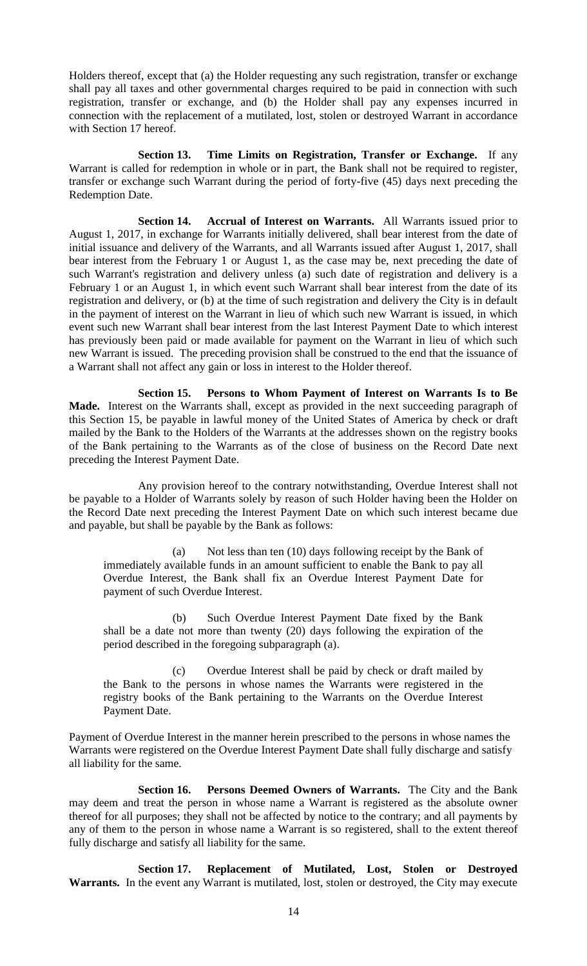Holders thereof, except that (a) the Holder requesting any such registration, transfer or exchange shall pay all taxes and other governmental charges required to be paid in connection with such registration, transfer or exchange, and (b) the Holder shall pay any expenses incurred in connection with the replacement of a mutilated, lost, stolen or destroyed Warrant in accordance with Section 17 hereof.

**Section 13. Time Limits on Registration, Transfer or Exchange.** If any Warrant is called for redemption in whole or in part, the Bank shall not be required to register, transfer or exchange such Warrant during the period of forty-five (45) days next preceding the Redemption Date.

**Section 14. Accrual of Interest on Warrants.** All Warrants issued prior to August 1, 2017, in exchange for Warrants initially delivered, shall bear interest from the date of initial issuance and delivery of the Warrants, and all Warrants issued after August 1, 2017, shall bear interest from the February 1 or August 1, as the case may be, next preceding the date of such Warrant's registration and delivery unless (a) such date of registration and delivery is a February 1 or an August 1, in which event such Warrant shall bear interest from the date of its registration and delivery, or (b) at the time of such registration and delivery the City is in default in the payment of interest on the Warrant in lieu of which such new Warrant is issued, in which event such new Warrant shall bear interest from the last Interest Payment Date to which interest has previously been paid or made available for payment on the Warrant in lieu of which such new Warrant is issued. The preceding provision shall be construed to the end that the issuance of a Warrant shall not affect any gain or loss in interest to the Holder thereof.

**Section 15. Persons to Whom Payment of Interest on Warrants Is to Be Made.** Interest on the Warrants shall, except as provided in the next succeeding paragraph of this Section 15, be payable in lawful money of the United States of America by check or draft mailed by the Bank to the Holders of the Warrants at the addresses shown on the registry books of the Bank pertaining to the Warrants as of the close of business on the Record Date next preceding the Interest Payment Date.

Any provision hereof to the contrary notwithstanding, Overdue Interest shall not be payable to a Holder of Warrants solely by reason of such Holder having been the Holder on the Record Date next preceding the Interest Payment Date on which such interest became due and payable, but shall be payable by the Bank as follows:

(a) Not less than ten (10) days following receipt by the Bank of immediately available funds in an amount sufficient to enable the Bank to pay all Overdue Interest, the Bank shall fix an Overdue Interest Payment Date for payment of such Overdue Interest.

(b) Such Overdue Interest Payment Date fixed by the Bank shall be a date not more than twenty (20) days following the expiration of the period described in the foregoing subparagraph (a).

(c) Overdue Interest shall be paid by check or draft mailed by the Bank to the persons in whose names the Warrants were registered in the registry books of the Bank pertaining to the Warrants on the Overdue Interest Payment Date.

Payment of Overdue Interest in the manner herein prescribed to the persons in whose names the Warrants were registered on the Overdue Interest Payment Date shall fully discharge and satisfy all liability for the same.

**Section 16. Persons Deemed Owners of Warrants.** The City and the Bank may deem and treat the person in whose name a Warrant is registered as the absolute owner thereof for all purposes; they shall not be affected by notice to the contrary; and all payments by any of them to the person in whose name a Warrant is so registered, shall to the extent thereof fully discharge and satisfy all liability for the same.

**Section 17. Replacement of Mutilated, Lost, Stolen or Destroyed Warrants.** In the event any Warrant is mutilated, lost, stolen or destroyed, the City may execute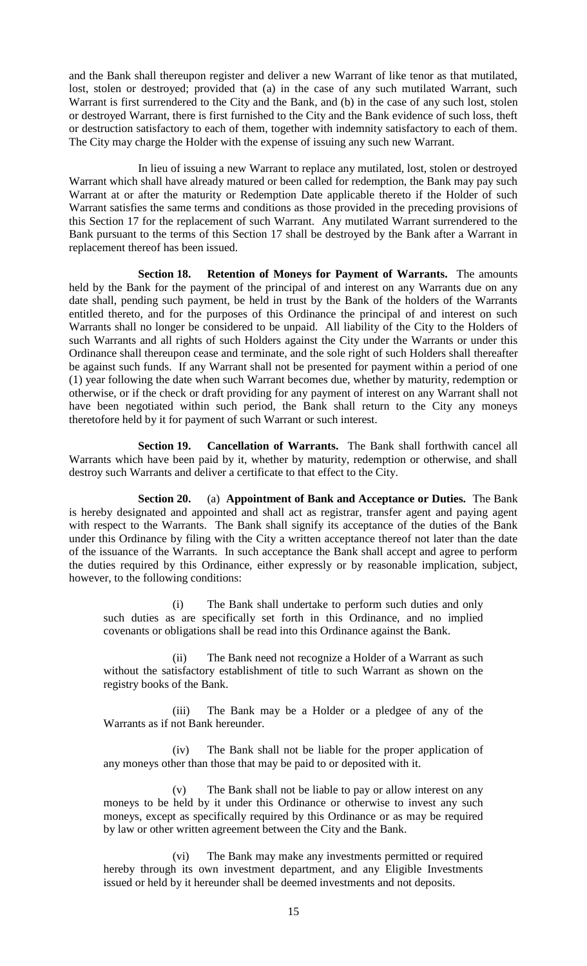and the Bank shall thereupon register and deliver a new Warrant of like tenor as that mutilated, lost, stolen or destroyed; provided that (a) in the case of any such mutilated Warrant, such Warrant is first surrendered to the City and the Bank, and (b) in the case of any such lost, stolen or destroyed Warrant, there is first furnished to the City and the Bank evidence of such loss, theft or destruction satisfactory to each of them, together with indemnity satisfactory to each of them. The City may charge the Holder with the expense of issuing any such new Warrant.

In lieu of issuing a new Warrant to replace any mutilated, lost, stolen or destroyed Warrant which shall have already matured or been called for redemption, the Bank may pay such Warrant at or after the maturity or Redemption Date applicable thereto if the Holder of such Warrant satisfies the same terms and conditions as those provided in the preceding provisions of this Section 17 for the replacement of such Warrant. Any mutilated Warrant surrendered to the Bank pursuant to the terms of this Section 17 shall be destroyed by the Bank after a Warrant in replacement thereof has been issued.

**Section 18. Retention of Moneys for Payment of Warrants.** The amounts held by the Bank for the payment of the principal of and interest on any Warrants due on any date shall, pending such payment, be held in trust by the Bank of the holders of the Warrants entitled thereto, and for the purposes of this Ordinance the principal of and interest on such Warrants shall no longer be considered to be unpaid. All liability of the City to the Holders of such Warrants and all rights of such Holders against the City under the Warrants or under this Ordinance shall thereupon cease and terminate, and the sole right of such Holders shall thereafter be against such funds. If any Warrant shall not be presented for payment within a period of one (1) year following the date when such Warrant becomes due, whether by maturity, redemption or otherwise, or if the check or draft providing for any payment of interest on any Warrant shall not have been negotiated within such period, the Bank shall return to the City any moneys theretofore held by it for payment of such Warrant or such interest.

**Section 19. Cancellation of Warrants.** The Bank shall forthwith cancel all Warrants which have been paid by it, whether by maturity, redemption or otherwise, and shall destroy such Warrants and deliver a certificate to that effect to the City.

**Section 20.** (a) **Appointment of Bank and Acceptance or Duties.** The Bank is hereby designated and appointed and shall act as registrar, transfer agent and paying agent with respect to the Warrants. The Bank shall signify its acceptance of the duties of the Bank under this Ordinance by filing with the City a written acceptance thereof not later than the date of the issuance of the Warrants. In such acceptance the Bank shall accept and agree to perform the duties required by this Ordinance, either expressly or by reasonable implication, subject, however, to the following conditions:

(i) The Bank shall undertake to perform such duties and only such duties as are specifically set forth in this Ordinance, and no implied covenants or obligations shall be read into this Ordinance against the Bank.

(ii) The Bank need not recognize a Holder of a Warrant as such without the satisfactory establishment of title to such Warrant as shown on the registry books of the Bank.

(iii) The Bank may be a Holder or a pledgee of any of the Warrants as if not Bank hereunder.

(iv) The Bank shall not be liable for the proper application of any moneys other than those that may be paid to or deposited with it.

(v) The Bank shall not be liable to pay or allow interest on any moneys to be held by it under this Ordinance or otherwise to invest any such moneys, except as specifically required by this Ordinance or as may be required by law or other written agreement between the City and the Bank.

(vi) The Bank may make any investments permitted or required hereby through its own investment department, and any Eligible Investments issued or held by it hereunder shall be deemed investments and not deposits.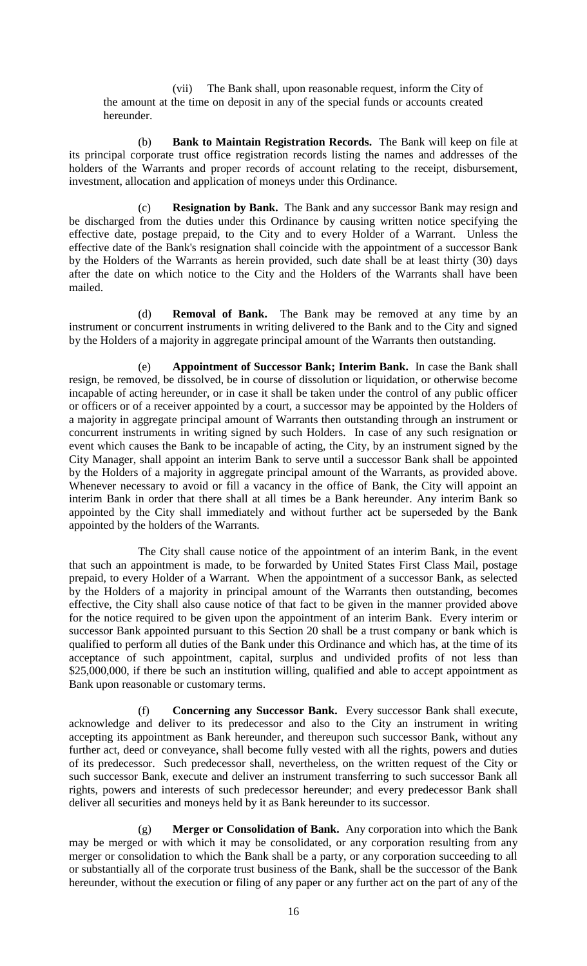(vii) The Bank shall, upon reasonable request, inform the City of the amount at the time on deposit in any of the special funds or accounts created hereunder.

(b) **Bank to Maintain Registration Records.** The Bank will keep on file at its principal corporate trust office registration records listing the names and addresses of the holders of the Warrants and proper records of account relating to the receipt, disbursement, investment, allocation and application of moneys under this Ordinance.

(c) **Resignation by Bank.** The Bank and any successor Bank may resign and be discharged from the duties under this Ordinance by causing written notice specifying the effective date, postage prepaid, to the City and to every Holder of a Warrant. Unless the effective date of the Bank's resignation shall coincide with the appointment of a successor Bank by the Holders of the Warrants as herein provided, such date shall be at least thirty (30) days after the date on which notice to the City and the Holders of the Warrants shall have been mailed.

(d) **Removal of Bank.** The Bank may be removed at any time by an instrument or concurrent instruments in writing delivered to the Bank and to the City and signed by the Holders of a majority in aggregate principal amount of the Warrants then outstanding.

(e) **Appointment of Successor Bank; Interim Bank.** In case the Bank shall resign, be removed, be dissolved, be in course of dissolution or liquidation, or otherwise become incapable of acting hereunder, or in case it shall be taken under the control of any public officer or officers or of a receiver appointed by a court, a successor may be appointed by the Holders of a majority in aggregate principal amount of Warrants then outstanding through an instrument or concurrent instruments in writing signed by such Holders. In case of any such resignation or event which causes the Bank to be incapable of acting, the City, by an instrument signed by the City Manager, shall appoint an interim Bank to serve until a successor Bank shall be appointed by the Holders of a majority in aggregate principal amount of the Warrants, as provided above. Whenever necessary to avoid or fill a vacancy in the office of Bank, the City will appoint an interim Bank in order that there shall at all times be a Bank hereunder. Any interim Bank so appointed by the City shall immediately and without further act be superseded by the Bank appointed by the holders of the Warrants.

The City shall cause notice of the appointment of an interim Bank, in the event that such an appointment is made, to be forwarded by United States First Class Mail, postage prepaid, to every Holder of a Warrant. When the appointment of a successor Bank, as selected by the Holders of a majority in principal amount of the Warrants then outstanding, becomes effective, the City shall also cause notice of that fact to be given in the manner provided above for the notice required to be given upon the appointment of an interim Bank. Every interim or successor Bank appointed pursuant to this Section 20 shall be a trust company or bank which is qualified to perform all duties of the Bank under this Ordinance and which has, at the time of its acceptance of such appointment, capital, surplus and undivided profits of not less than \$25,000,000, if there be such an institution willing, qualified and able to accept appointment as Bank upon reasonable or customary terms.

(f) **Concerning any Successor Bank.** Every successor Bank shall execute, acknowledge and deliver to its predecessor and also to the City an instrument in writing accepting its appointment as Bank hereunder, and thereupon such successor Bank, without any further act, deed or conveyance, shall become fully vested with all the rights, powers and duties of its predecessor. Such predecessor shall, nevertheless, on the written request of the City or such successor Bank, execute and deliver an instrument transferring to such successor Bank all rights, powers and interests of such predecessor hereunder; and every predecessor Bank shall deliver all securities and moneys held by it as Bank hereunder to its successor.

(g) **Merger or Consolidation of Bank.** Any corporation into which the Bank may be merged or with which it may be consolidated, or any corporation resulting from any merger or consolidation to which the Bank shall be a party, or any corporation succeeding to all or substantially all of the corporate trust business of the Bank, shall be the successor of the Bank hereunder, without the execution or filing of any paper or any further act on the part of any of the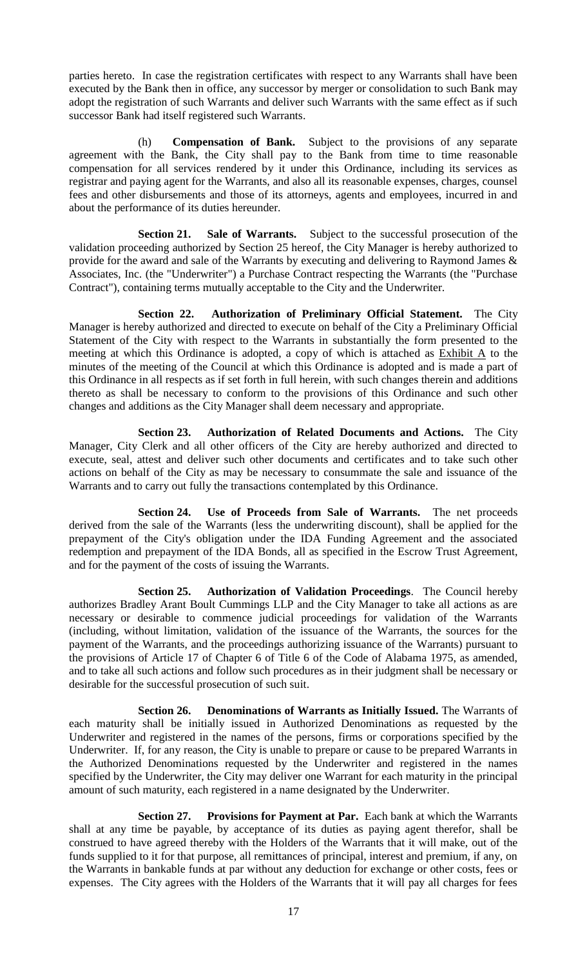parties hereto. In case the registration certificates with respect to any Warrants shall have been executed by the Bank then in office, any successor by merger or consolidation to such Bank may adopt the registration of such Warrants and deliver such Warrants with the same effect as if such successor Bank had itself registered such Warrants.

(h) **Compensation of Bank.** Subject to the provisions of any separate agreement with the Bank, the City shall pay to the Bank from time to time reasonable compensation for all services rendered by it under this Ordinance, including its services as registrar and paying agent for the Warrants, and also all its reasonable expenses, charges, counsel fees and other disbursements and those of its attorneys, agents and employees, incurred in and about the performance of its duties hereunder.

**Section 21. Sale of Warrants.** Subject to the successful prosecution of the validation proceeding authorized by Section 25 hereof, the City Manager is hereby authorized to provide for the award and sale of the Warrants by executing and delivering to Raymond James & Associates, Inc. (the "Underwriter") a Purchase Contract respecting the Warrants (the "Purchase Contract"), containing terms mutually acceptable to the City and the Underwriter.

**Section 22. Authorization of Preliminary Official Statement.** The City Manager is hereby authorized and directed to execute on behalf of the City a Preliminary Official Statement of the City with respect to the Warrants in substantially the form presented to the meeting at which this Ordinance is adopted, a copy of which is attached as Exhibit A to the minutes of the meeting of the Council at which this Ordinance is adopted and is made a part of this Ordinance in all respects as if set forth in full herein, with such changes therein and additions thereto as shall be necessary to conform to the provisions of this Ordinance and such other changes and additions as the City Manager shall deem necessary and appropriate.

**Section 23. Authorization of Related Documents and Actions.** The City Manager, City Clerk and all other officers of the City are hereby authorized and directed to execute, seal, attest and deliver such other documents and certificates and to take such other actions on behalf of the City as may be necessary to consummate the sale and issuance of the Warrants and to carry out fully the transactions contemplated by this Ordinance.

**Section 24. Use of Proceeds from Sale of Warrants.** The net proceeds derived from the sale of the Warrants (less the underwriting discount), shall be applied for the prepayment of the City's obligation under the IDA Funding Agreement and the associated redemption and prepayment of the IDA Bonds, all as specified in the Escrow Trust Agreement, and for the payment of the costs of issuing the Warrants.

**Section 25. Authorization of Validation Proceedings**. The Council hereby authorizes Bradley Arant Boult Cummings LLP and the City Manager to take all actions as are necessary or desirable to commence judicial proceedings for validation of the Warrants (including, without limitation, validation of the issuance of the Warrants, the sources for the payment of the Warrants, and the proceedings authorizing issuance of the Warrants) pursuant to the provisions of Article 17 of Chapter 6 of Title 6 of the Code of Alabama 1975, as amended, and to take all such actions and follow such procedures as in their judgment shall be necessary or desirable for the successful prosecution of such suit.

**Section 26. Denominations of Warrants as Initially Issued.** The Warrants of each maturity shall be initially issued in Authorized Denominations as requested by the Underwriter and registered in the names of the persons, firms or corporations specified by the Underwriter. If, for any reason, the City is unable to prepare or cause to be prepared Warrants in the Authorized Denominations requested by the Underwriter and registered in the names specified by the Underwriter, the City may deliver one Warrant for each maturity in the principal amount of such maturity, each registered in a name designated by the Underwriter.

**Section 27. Provisions for Payment at Par.** Each bank at which the Warrants shall at any time be payable, by acceptance of its duties as paying agent therefor, shall be construed to have agreed thereby with the Holders of the Warrants that it will make, out of the funds supplied to it for that purpose, all remittances of principal, interest and premium, if any, on the Warrants in bankable funds at par without any deduction for exchange or other costs, fees or expenses. The City agrees with the Holders of the Warrants that it will pay all charges for fees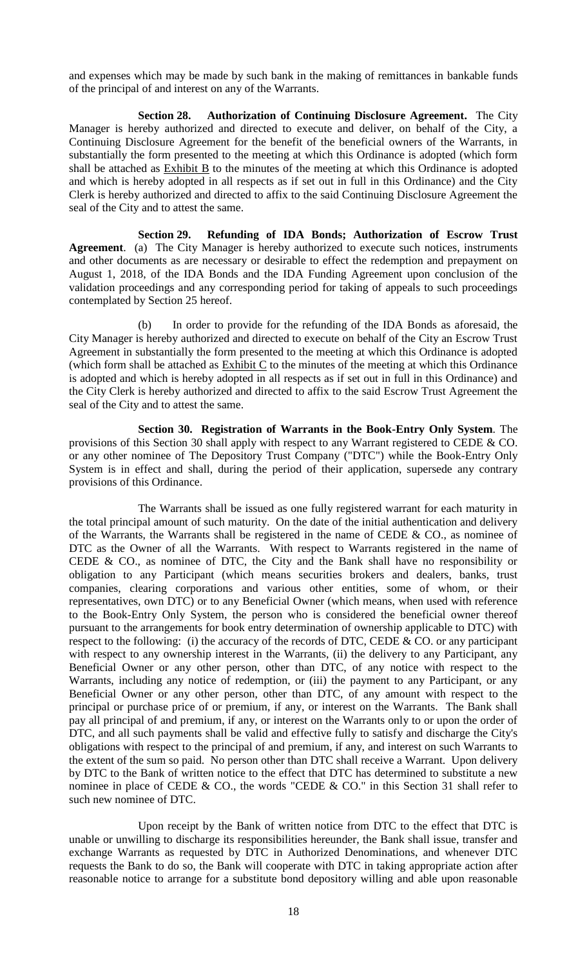and expenses which may be made by such bank in the making of remittances in bankable funds of the principal of and interest on any of the Warrants.

**Section 28. Authorization of Continuing Disclosure Agreement.** The City Manager is hereby authorized and directed to execute and deliver, on behalf of the City, a Continuing Disclosure Agreement for the benefit of the beneficial owners of the Warrants, in substantially the form presented to the meeting at which this Ordinance is adopted (which form shall be attached as Exhibit B to the minutes of the meeting at which this Ordinance is adopted and which is hereby adopted in all respects as if set out in full in this Ordinance) and the City Clerk is hereby authorized and directed to affix to the said Continuing Disclosure Agreement the seal of the City and to attest the same.

**Section 29. Refunding of IDA Bonds; Authorization of Escrow Trust Agreement**. (a) The City Manager is hereby authorized to execute such notices, instruments and other documents as are necessary or desirable to effect the redemption and prepayment on August 1, 2018, of the IDA Bonds and the IDA Funding Agreement upon conclusion of the validation proceedings and any corresponding period for taking of appeals to such proceedings contemplated by Section 25 hereof.

(b) In order to provide for the refunding of the IDA Bonds as aforesaid, the City Manager is hereby authorized and directed to execute on behalf of the City an Escrow Trust Agreement in substantially the form presented to the meeting at which this Ordinance is adopted (which form shall be attached as  $Exhibit C$  to the minutes of the meeting at which this Ordinance is adopted and which is hereby adopted in all respects as if set out in full in this Ordinance) and the City Clerk is hereby authorized and directed to affix to the said Escrow Trust Agreement the seal of the City and to attest the same.

**Section 30. Registration of Warrants in the Book-Entry Only System**. The provisions of this Section 30 shall apply with respect to any Warrant registered to CEDE & CO. or any other nominee of The Depository Trust Company ("DTC") while the Book-Entry Only System is in effect and shall, during the period of their application, supersede any contrary provisions of this Ordinance.

The Warrants shall be issued as one fully registered warrant for each maturity in the total principal amount of such maturity. On the date of the initial authentication and delivery of the Warrants, the Warrants shall be registered in the name of CEDE & CO., as nominee of DTC as the Owner of all the Warrants. With respect to Warrants registered in the name of CEDE & CO., as nominee of DTC, the City and the Bank shall have no responsibility or obligation to any Participant (which means securities brokers and dealers, banks, trust companies, clearing corporations and various other entities, some of whom, or their representatives, own DTC) or to any Beneficial Owner (which means, when used with reference to the Book-Entry Only System, the person who is considered the beneficial owner thereof pursuant to the arrangements for book entry determination of ownership applicable to DTC) with respect to the following: (i) the accuracy of the records of DTC, CEDE  $&$  CO. or any participant with respect to any ownership interest in the Warrants, (ii) the delivery to any Participant, any Beneficial Owner or any other person, other than DTC, of any notice with respect to the Warrants, including any notice of redemption, or (iii) the payment to any Participant, or any Beneficial Owner or any other person, other than DTC, of any amount with respect to the principal or purchase price of or premium, if any, or interest on the Warrants. The Bank shall pay all principal of and premium, if any, or interest on the Warrants only to or upon the order of DTC, and all such payments shall be valid and effective fully to satisfy and discharge the City's obligations with respect to the principal of and premium, if any, and interest on such Warrants to the extent of the sum so paid. No person other than DTC shall receive a Warrant. Upon delivery by DTC to the Bank of written notice to the effect that DTC has determined to substitute a new nominee in place of CEDE & CO., the words "CEDE & CO." in this Section 31 shall refer to such new nominee of DTC.

Upon receipt by the Bank of written notice from DTC to the effect that DTC is unable or unwilling to discharge its responsibilities hereunder, the Bank shall issue, transfer and exchange Warrants as requested by DTC in Authorized Denominations, and whenever DTC requests the Bank to do so, the Bank will cooperate with DTC in taking appropriate action after reasonable notice to arrange for a substitute bond depository willing and able upon reasonable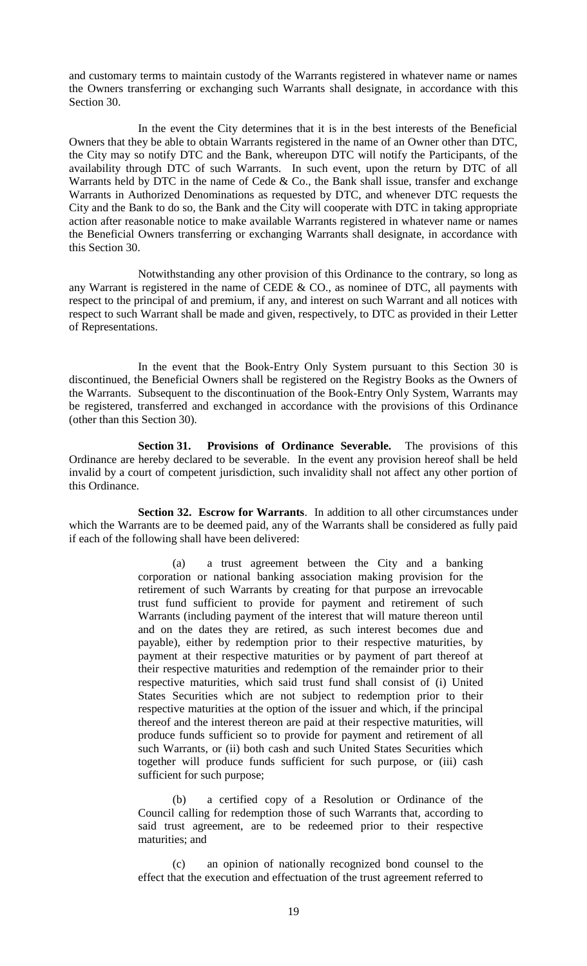and customary terms to maintain custody of the Warrants registered in whatever name or names the Owners transferring or exchanging such Warrants shall designate, in accordance with this Section 30.

In the event the City determines that it is in the best interests of the Beneficial Owners that they be able to obtain Warrants registered in the name of an Owner other than DTC, the City may so notify DTC and the Bank, whereupon DTC will notify the Participants, of the availability through DTC of such Warrants. In such event, upon the return by DTC of all Warrants held by DTC in the name of Cede  $& Co.,$  the Bank shall issue, transfer and exchange Warrants in Authorized Denominations as requested by DTC, and whenever DTC requests the City and the Bank to do so, the Bank and the City will cooperate with DTC in taking appropriate action after reasonable notice to make available Warrants registered in whatever name or names the Beneficial Owners transferring or exchanging Warrants shall designate, in accordance with this Section 30.

Notwithstanding any other provision of this Ordinance to the contrary, so long as any Warrant is registered in the name of CEDE & CO., as nominee of DTC, all payments with respect to the principal of and premium, if any, and interest on such Warrant and all notices with respect to such Warrant shall be made and given, respectively, to DTC as provided in their Letter of Representations.

In the event that the Book-Entry Only System pursuant to this Section 30 is discontinued, the Beneficial Owners shall be registered on the Registry Books as the Owners of the Warrants. Subsequent to the discontinuation of the Book-Entry Only System, Warrants may be registered, transferred and exchanged in accordance with the provisions of this Ordinance (other than this Section 30).

**Section 31. Provisions of Ordinance Severable.** The provisions of this Ordinance are hereby declared to be severable. In the event any provision hereof shall be held invalid by a court of competent jurisdiction, such invalidity shall not affect any other portion of this Ordinance.

**Section 32. Escrow for Warrants**. In addition to all other circumstances under which the Warrants are to be deemed paid, any of the Warrants shall be considered as fully paid if each of the following shall have been delivered:

> (a) a trust agreement between the City and a banking corporation or national banking association making provision for the retirement of such Warrants by creating for that purpose an irrevocable trust fund sufficient to provide for payment and retirement of such Warrants (including payment of the interest that will mature thereon until and on the dates they are retired, as such interest becomes due and payable), either by redemption prior to their respective maturities, by payment at their respective maturities or by payment of part thereof at their respective maturities and redemption of the remainder prior to their respective maturities, which said trust fund shall consist of (i) United States Securities which are not subject to redemption prior to their respective maturities at the option of the issuer and which, if the principal thereof and the interest thereon are paid at their respective maturities, will produce funds sufficient so to provide for payment and retirement of all such Warrants, or (ii) both cash and such United States Securities which together will produce funds sufficient for such purpose, or (iii) cash sufficient for such purpose;

> (b) a certified copy of a Resolution or Ordinance of the Council calling for redemption those of such Warrants that, according to said trust agreement, are to be redeemed prior to their respective maturities; and

> (c) an opinion of nationally recognized bond counsel to the effect that the execution and effectuation of the trust agreement referred to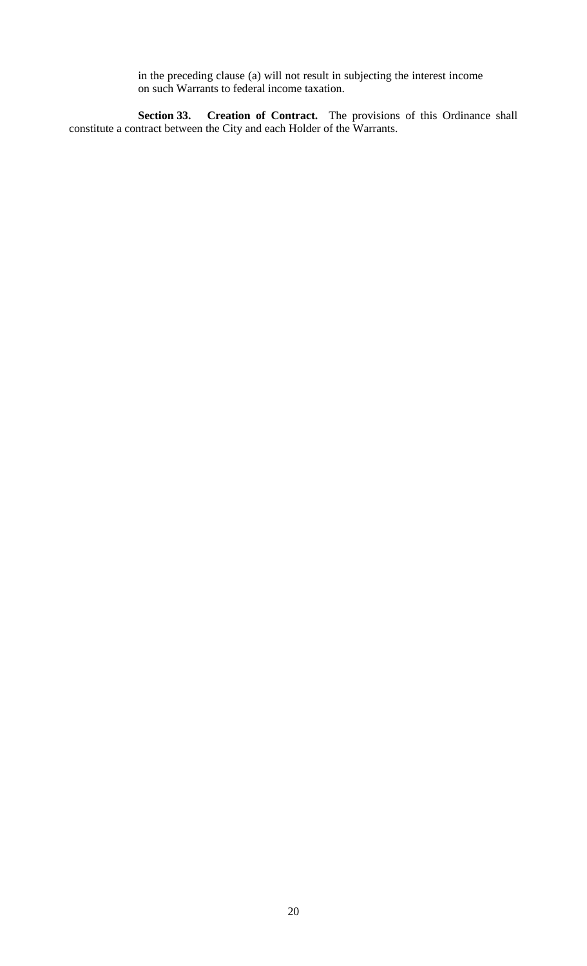in the preceding clause (a) will not result in subjecting the interest income on such Warrants to federal income taxation.

**Section 33. Creation of Contract.** The provisions of this Ordinance shall constitute a contract between the City and each Holder of the Warrants.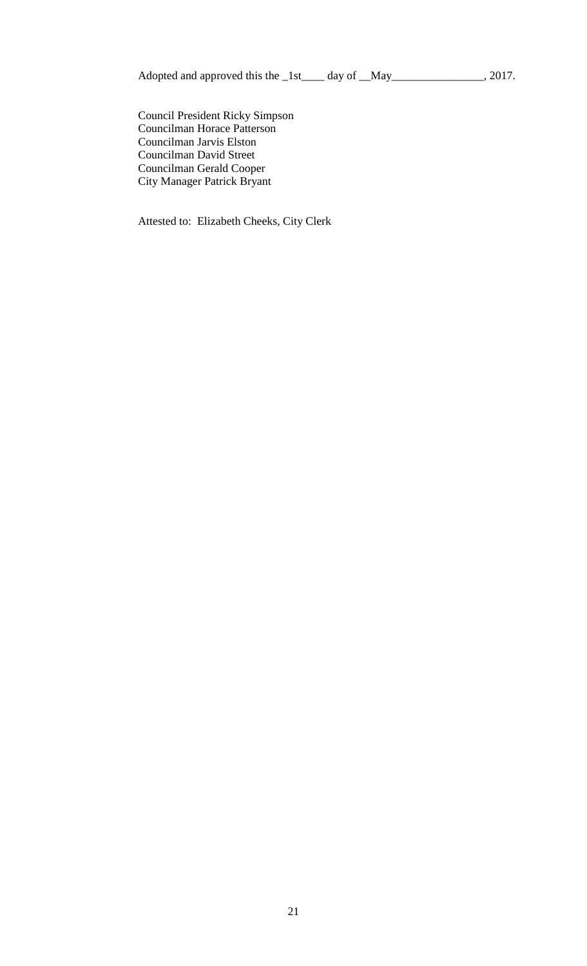Adopted and approved this the \_1st\_\_\_\_ day of \_\_May\_\_\_\_\_\_\_\_\_\_\_\_\_\_\_, 2017.

Council President Ricky Simpson Councilman Horace Patterson Councilman Jarvis Elston Councilman David Street Councilman Gerald Cooper City Manager Patrick Bryant

Attested to: Elizabeth Cheeks, City Clerk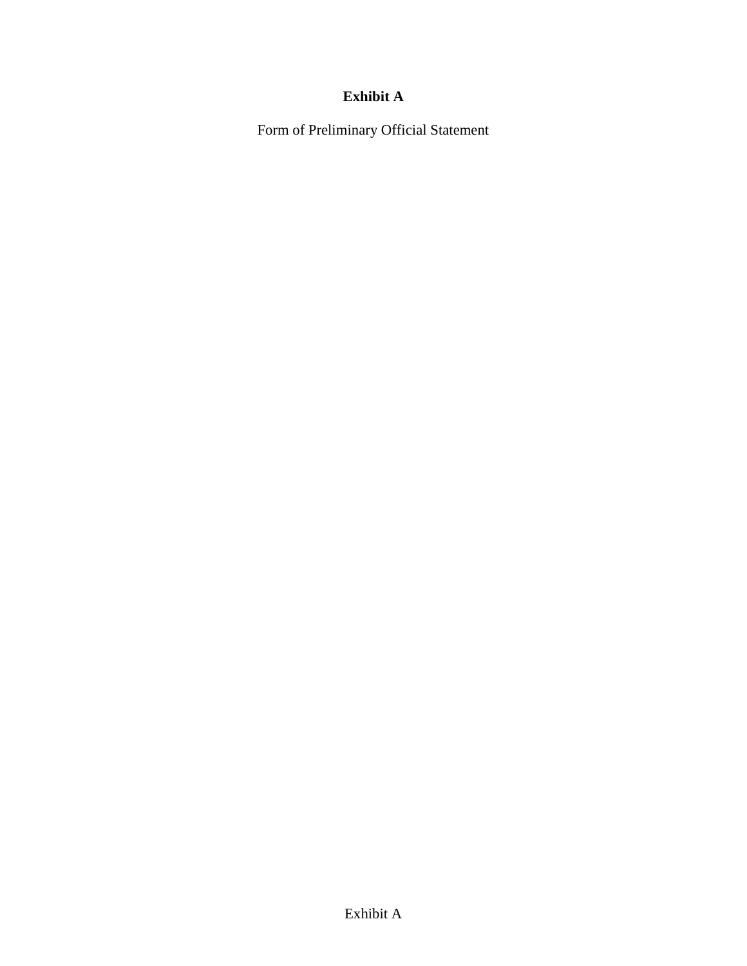# **Exhibit A**

Form of Preliminary Official Statement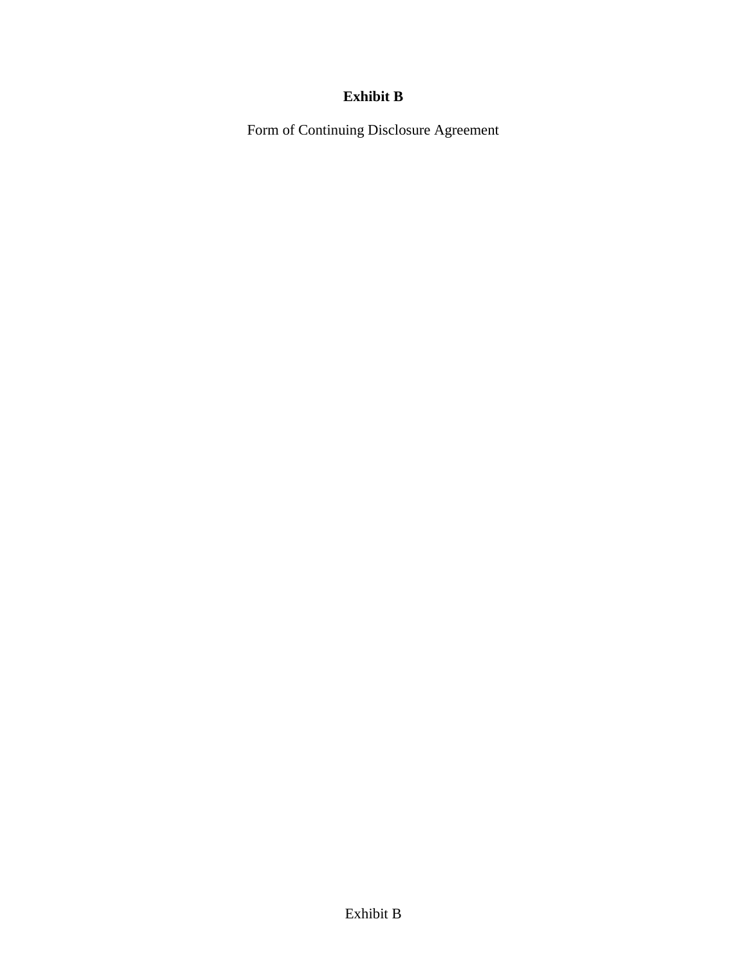# **Exhibit B**

Form of Continuing Disclosure Agreement